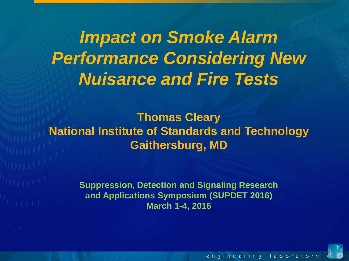*Impact on Smoke Alarm Performance Considering New Nuisance and Fire Tests*

**Thomas Cleary National Institute of Standards and Technology Gaithersburg, MD**

> **Suppression, Detection and Signaling Research and Applications Symposium (SUPDET 2016) March 1-4, 2016**



engineering laborator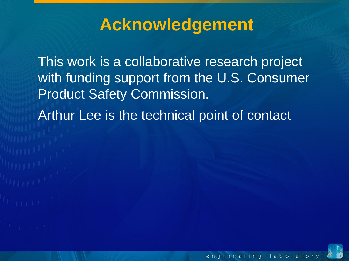## **Acknowledgement**

This work is a collaborative research project with funding support from the U.S. Consumer Product Safety Commission.

Arthur Lee is the technical point of contact

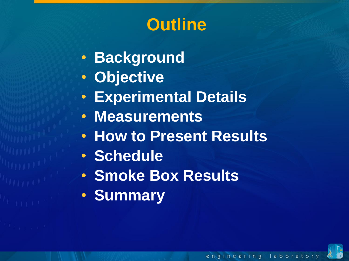## **Outline**

- **Background**
- **Objective**
- **Experimental Details**
- **Measurements**
- **How to Present Results**
- **Schedule**
- **Smoke Box Results**
- **Summary**

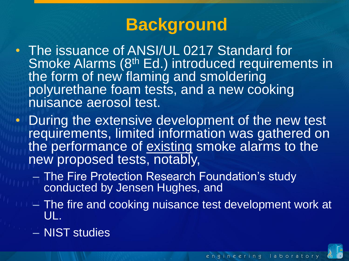# **Background**

- The issuance of ANSI/UL 0217 Standard for Smoke Alarms (8<sup>th</sup> Ed.) introduced requirements in the form of new flaming and smoldering polyurethane foam tests, and a new cooking nuisance aerosol test.
- During the extensive development of the new test requirements, limited information was gathered on the performance of existing smoke alarms to the new proposed tests, notably,
	- The Fire Protection Research Foundation's study conducted by Jensen Hughes, and
	- The fire and cooking nuisance test development work at UL.
	- NIST studies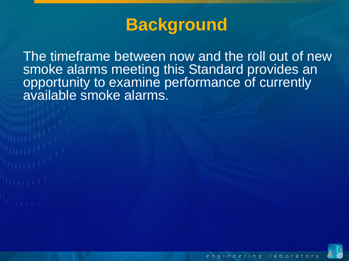## **Background**

The timeframe between now and the roll out of new smoke alarms meeting this Standard provides an opportunity to examine performance of currently available smoke alarms.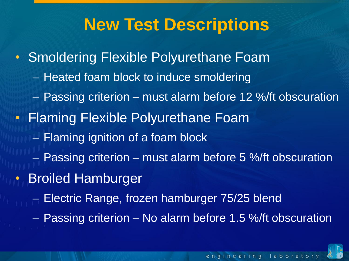## **New Test Descriptions**

• Smoldering Flexible Polyurethane Foam – Heated foam block to induce smoldering – Passing criterion – must alarm before 12 %/ft obscuration • Flaming Flexible Polyurethane Foam – Flaming ignition of a foam block – Passing criterion – must alarm before 5 %/ft obscuration • Broiled Hamburger – Electric Range, frozen hamburger 75/25 blend

– Passing criterion – No alarm before 1.5 %/ft obscuration

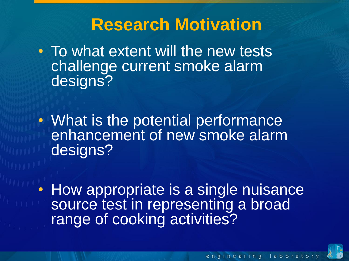## **Research Motivation**

- To what extent will the new tests challenge current smoke alarm designs?
- What is the potential performance enhancement of new smoke alarm designs?
- How appropriate is a single nuisance source test in representing a broad range of cooking activities?

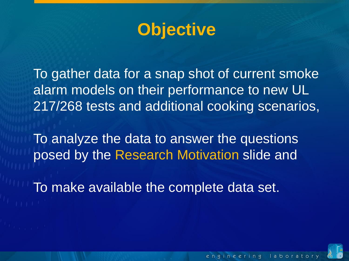

To gather data for a snap shot of current smoke alarm models on their performance to new UL 217/268 tests and additional cooking scenarios,

To analyze the data to answer the questions posed by the Research Motivation slide and

To make available the complete data set.



engineering laborator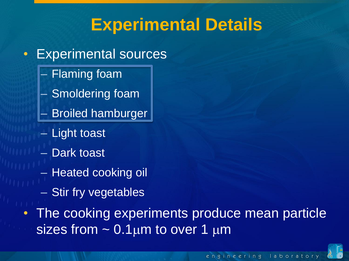## **Experimental Details**

- Experimental sources
	- Flaming foam
	- Smoldering foam
	- Broiled hamburger
	- Light toast
	- Dark toast
	- Heated cooking oil
	- Stir fry vegetables
- The cooking experiments produce mean particle sizes from  $\sim 0.1 \mu m$  to over  $1 \mu m$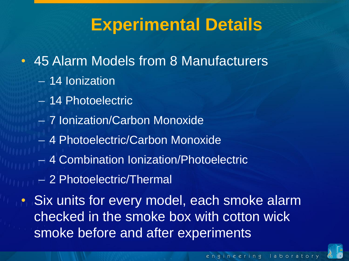## **Experimental Details**

- 45 Alarm Models from 8 Manufacturers
	- 14 Ionization
	- 14 Photoelectric
	- 7 Ionization/Carbon Monoxide
	- 4 Photoelectric/Carbon Monoxide
	- 4 Combination Ionization/Photoelectric
	- 2 Photoelectric/Thermal

• Six units for every model, each smoke alarm checked in the smoke box with cotton wick smoke before and after experiments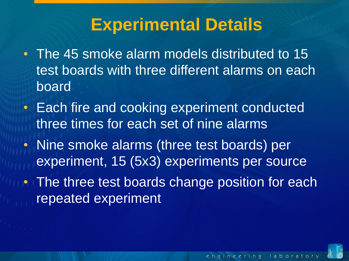## **Experimental Details**

- The 45 smoke alarm models distributed to 15 test boards with three different alarms on each board
- Each fire and cooking experiment conducted three times for each set of nine alarms
- Nine smoke alarms (three test boards) per experiment, 15 (5x3) experiments per source
- **The three test boards change position for each** repeated experiment

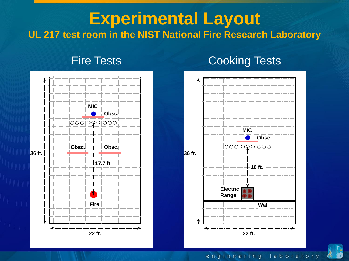### **Experimental Layout UL 217 test room in the NIST National Fire Research Laboratory**

#### Fire Tests **Cooking Tests**





#### engineering laboratory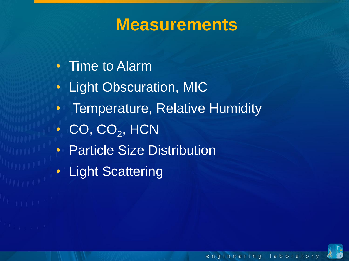- Time to Alarm
- Light Obscuration, MIC
- Temperature, Relative Humidity
- $\bullet$  CO, CO<sub>2</sub>, HCN
- Particle Size Distribution
- Light Scattering

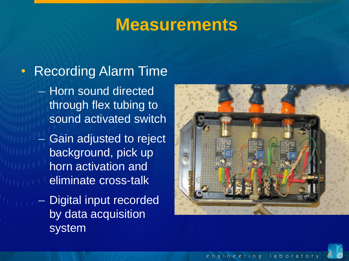## • Recording Alarm Time

- Horn sound directed through flex tubing to sound activated switch
- Gain adjusted to reject background, pick up horn activation and eliminate cross-talk
- Digital input recorded by data acquisition system



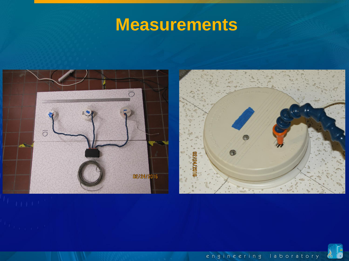

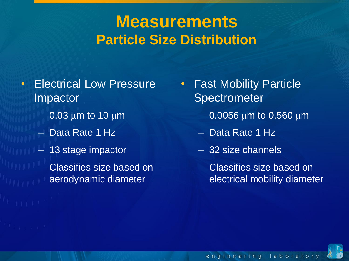## **Measurements Particle Size Distribution**

- Electrical Low Pressure Impactor
	- $-$  0.03 µm to 10 µm
	- Data Rate 1 Hz
	- 13 stage impactor
	- Classifies size based on aerodynamic diameter
- **Fast Mobility Particle Spectrometer** 
	- $-$  0.0056 µm to 0.560 µm
	- Data Rate 1 Hz
	- 32 size channels
	- Classifies size based on electrical mobility diameter

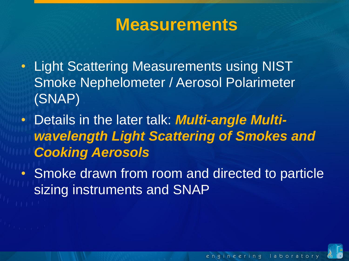- Light Scattering Measurements using NIST Smoke Nephelometer / Aerosol Polarimeter (SNAP)
- Details in the later talk: *Multi-angle Multiwavelength Light Scattering of Smokes and Cooking Aerosols*
- Smoke drawn from room and directed to particle sizing instruments and SNAP

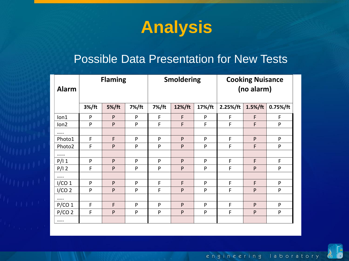## **Analysis**

#### Possible Data Presentation for New Tests

| <b>Alarm</b>      |       | <b>Flaming</b> |       |       | <b>Smoldering</b> |        | <b>Cooking Nuisance</b><br>(no alarm) |              |             |  |  |
|-------------------|-------|----------------|-------|-------|-------------------|--------|---------------------------------------|--------------|-------------|--|--|
|                   | 3%/ft | 5%/ft          | 7%/ft | 7%/ft | 12%/ft            | 17%/ft | 2.25%/ft                              | $1.5\%/ft$   | $0.75%$ /ft |  |  |
| lon1              | P     | P              | P     | F     | F                 | P      | F                                     | F            | F           |  |  |
| lon <sub>2</sub>  | P     | P              | P     | F     | F                 | F      | F                                     | F            | P           |  |  |
|                   |       |                |       |       |                   |        |                                       |              |             |  |  |
| Photo1            | F     | F              | P     | P     | P                 | P      | F                                     | P            | P           |  |  |
| Photo2            | F     | P              | P     | P     | P                 | P      | F                                     | F            | P           |  |  |
|                   |       |                |       |       |                   |        |                                       |              |             |  |  |
| P/11              | P     | P              | P     | P     | P                 | P      | F                                     | F            | F           |  |  |
| $P/I$ 2           | F     | P              | P     | P     | P                 | P      | F                                     | $\mathsf{P}$ | ${\sf P}$   |  |  |
|                   |       |                |       |       |                   |        |                                       |              |             |  |  |
| I/CO 1            | P     | P              | P     | F     | F                 | P      | F                                     | F            | P           |  |  |
| I/CO <sub>2</sub> | P     | P              | P     | F     | P                 | P      | F                                     | P            | P           |  |  |
| $\cdots$          |       |                |       |       |                   |        |                                       |              |             |  |  |
| P/CO 1            | F     | F              | P     | P     | P                 | P      | F                                     | P            | P           |  |  |
| $P/CO$ 2          | F     | P              | P     | P     | P                 | P      | F                                     | P            | P           |  |  |
|                   |       |                |       |       |                   |        |                                       |              |             |  |  |

engineering laboratory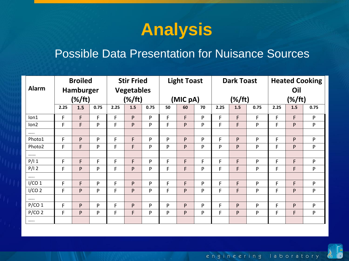

#### Possible Data Presentation for Nuisance Sources

|                   | <b>Broiled</b> |     | <b>Stir Fried</b><br><b>Vegetables</b><br>(% / ft) |      | <b>Light Toast</b> |      |    | <b>Dark Toast</b> |    |      | <b>Heated Cooking</b><br>Oil |      |      |     |      |
|-------------------|----------------|-----|----------------------------------------------------|------|--------------------|------|----|-------------------|----|------|------------------------------|------|------|-----|------|
| <b>Alarm</b>      | Hamburger      |     |                                                    |      |                    |      |    |                   |    |      |                              |      |      |     |      |
|                   | $(\%/ft)$      |     |                                                    |      | (MIC pA)           |      |    | $(\%/ft)$         |    |      | $(\%/ft)$                    |      |      |     |      |
|                   | 2.25           | 1.5 | 0.75                                               | 2.25 | 1.5                | 0.75 | 50 | 60                | 70 | 2.25 | 1.5                          | 0.75 | 2.25 | 1.5 | 0.75 |
| lon1              | F              | F   | F                                                  | F    | P                  | P    | F  | F                 | P  | F    | F                            | F    | F    | F   | P    |
| lon2              | F              | F   | P                                                  | F    | P                  | P    | F  | P                 | P  | F    | F                            | P    | F    | P   | P    |
|                   |                |     |                                                    |      |                    |      |    |                   |    |      |                              |      |      |     |      |
| Photo1            | F              | P   | P                                                  | F    | F                  | P    | P  | P                 | P  | F    | P                            | P    | F    | P   | P    |
| Photo2            | F              | F   | P                                                  | F    | F.                 | P    | P  | P                 | P  | P    | P                            | P    | F    | P   | P    |
|                   |                |     |                                                    |      |                    |      |    |                   |    |      |                              |      |      |     |      |
| P/11              | F              | F   | F                                                  | F    | F                  | P    | F  | F                 | F  | F    | F                            | P    | F    | F   | P    |
| $P/I$ 2           | F              | P   | P                                                  | F    | P                  | P    | F  | F                 | P  | F    | F                            | P    | F    | F   | P    |
|                   |                |     |                                                    |      |                    |      |    |                   |    |      |                              |      |      |     |      |
| I/CO 1            | F              | F   | P                                                  | F    | P                  | P    | F  | F                 | P  | F    | F                            | P    | F    | F   | P    |
| I/CO <sub>2</sub> | F              | P   | P                                                  | F    | P                  | P    | F  | P                 | P  | F    | F                            | P    | F    | P   | P    |
|                   |                |     |                                                    |      |                    |      |    |                   |    |      |                              |      |      |     |      |
| P/CO 1            | F              | P   | P                                                  | F    | P                  | P    | P  | P                 | P  | F    | P                            | P    | F    | P   | P    |
| $P/CO$ 2          | F              | P   | P                                                  | F    | F                  | P    | P  | P                 | P  | F    | P                            | P    | F    | F   | P    |
| $\cdots$          |                |     |                                                    |      |                    |      |    |                   |    |      |                              |      |      |     |      |

engineering laboratory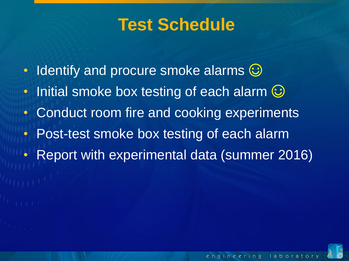## **Test Schedule**

- Identify and procure smoke alarms  $\odot$
- Initial smoke box testing of each alarm  $\odot$
- Conduct room fire and cooking experiments
- Post-test smoke box testing of each alarm
- Report with experimental data (summer 2016)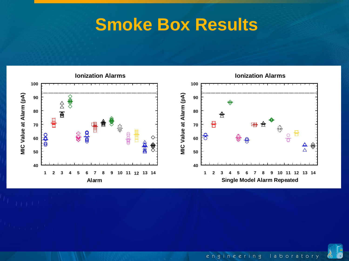

laboratory engineering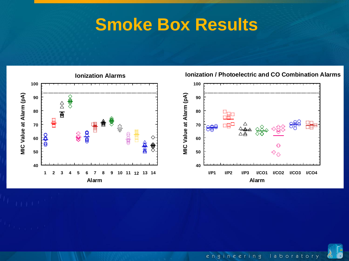

**Ionization / Photoelectric and CO Combination Alarms**

engineering laboratory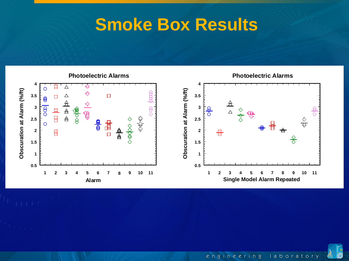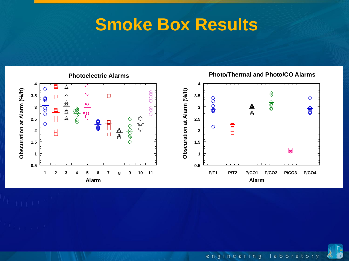

engineering laboratory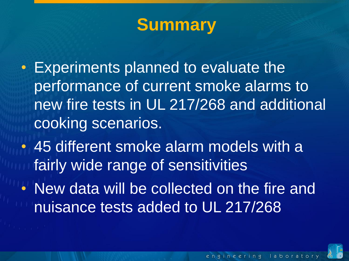## **Summary**

- Experiments planned to evaluate the performance of current smoke alarms to new fire tests in UL 217/268 and additional cooking scenarios.
- 45 different smoke alarm models with a fairly wide range of sensitivities
- New data will be collected on the fire and nuisance tests added to UL 217/268